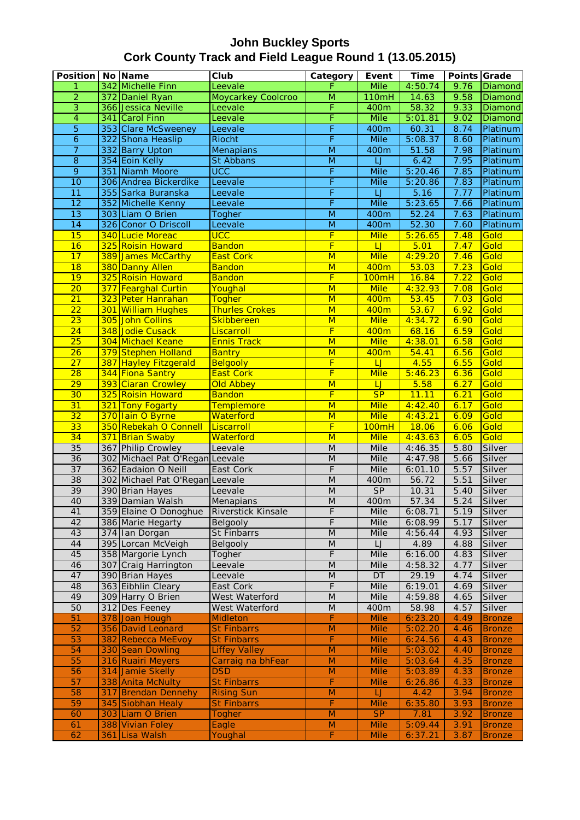| <b>Position</b> |     | No Name                         | Club                      | Category                                                                                                   | Event                   | <b>Time</b> | Points Grade |                |
|-----------------|-----|---------------------------------|---------------------------|------------------------------------------------------------------------------------------------------------|-------------------------|-------------|--------------|----------------|
| 1               |     | 342 Michelle Finn               | Leevale                   | F                                                                                                          | <b>Mile</b>             | 4:50.74     | 9.76         | Diamond        |
| $\overline{2}$  |     | 372 Daniel Ryan                 | <b>Moycarkey Coolcroo</b> | $\overline{\mathsf{M}}$                                                                                    | 110mH                   | 14.63       | 9.58         | <b>Diamond</b> |
| $\overline{3}$  |     | 366 Jessica Neville             | Leevale                   | F                                                                                                          | 400m                    | 58.32       | 9.33         | Diamond        |
| $\overline{4}$  |     | 341 Carol Finn                  | Leevale                   | F                                                                                                          | <b>Mile</b>             | 5:01.81     | 9.02         | Diamond        |
| $\overline{5}$  |     | 353 Clare McSweeney             | Leevale                   | F                                                                                                          | 400m                    | 60.31       | 8.74         | Platinum       |
| 6               |     | 322 Shona Heaslip               | <b>Riocht</b>             | F                                                                                                          | <b>Mile</b>             | 5:08.37     | 8.60         | Platinum       |
| $\overline{7}$  |     | 332 Barry Upton                 | Menapians                 | $\overline{\mathsf{M}}$                                                                                    | 400m                    | 51.58       | 7.98         | Platinum       |
| $\overline{8}$  |     | 354 Eoin Kelly                  | St Abbans                 | $\overline{M}$                                                                                             | Ū                       | 6.42        | 7.95         | Platinum       |
| $\overline{9}$  |     | 351 Niamh Moore                 | <b>UCC</b>                | F                                                                                                          | <b>Mile</b>             | 5:20.46     | 7.85         | Platinum       |
| 10              |     | 306 Andrea Bickerdike           | Leevale                   | F                                                                                                          | Mile                    | 5:20.86     | 7.83         | Platinum       |
| $\overline{11}$ |     | 355 Sarka Buranska              | Leevale                   | F                                                                                                          | IJ                      | 5.16        | 7.77         | Platinum       |
| $\overline{12}$ |     | 352 Michelle Kenny              | Leevale                   | F                                                                                                          | <b>Mile</b>             | 5:23.65     | 7.66         | Platinum       |
| $\overline{13}$ |     | 303 Liam O Brien                | Togher                    | $\overline{M}$                                                                                             | 400m                    | 52.24       | 7.63         | Platinum       |
| $\overline{14}$ |     | 326 Conor O Driscoll            | Leevale                   | $\overline{\mathsf{M}}$                                                                                    | 400m                    | 52.30       | 7.60         | Platinum       |
| 15              |     | 340 Lucie Moreac                | <b>UCC</b>                | $\overline{F}$                                                                                             | <b>Mile</b>             | 5:26.65     | 7.48         | Gold           |
| $\overline{16}$ |     | 325 Roisin Howard               | <b>Bandon</b>             | F                                                                                                          | LJ                      | 5.01        | 7.47         | Gold           |
| 17              |     | 389 James McCarthy              | <b>East Cork</b>          | $\overline{\mathsf{M}}$                                                                                    | <b>Mile</b>             | 4:29.20     | 7.46         | Gold           |
| 18              |     | 380 Danny Allen                 | <b>Bandon</b>             | $\overline{\mathsf{M}}$                                                                                    | 400m                    | 53.03       | 7.23         | Gold           |
| 19              |     | 325 Roisin Howard               | <b>Bandon</b>             | $\overline{\mathsf{F}}$                                                                                    | <b>100mH</b>            | 16.84       | 7.22         | Gold           |
| $\overline{20}$ |     | 377 Fearghal Curtin             | Youghal                   | $\overline{\mathsf{M}}$                                                                                    | <b>Mile</b>             | 4:32.93     | 7.08         | Gold           |
| $\overline{21}$ |     | 323 Peter Hanrahan              | <b>Togher</b>             | $\overline{\mathsf{M}}$                                                                                    | 400m                    | 53.45       | 7.03         | Gold           |
| $\overline{22}$ |     | 301 William Hughes              | <b>Thurles Crokes</b>     | M                                                                                                          | 400m                    | 53.67       | 6.92         | Gold           |
| $\overline{23}$ |     | 305 John Collins                | Skibbereen                | $\overline{\mathsf{M}}$                                                                                    | <b>Mile</b>             | 4:34.72     | 6.90         | Gold           |
| $\overline{24}$ |     | 348 Jodie Cusack                | Liscarroll                | F                                                                                                          | 400m                    | 68.16       | 6.59         | Gold           |
| 25              |     | 304 Michael Keane               | <b>Ennis Track</b>        | $\overline{\mathsf{M}}$                                                                                    | <b>Mile</b>             | 4:38.01     | 6.58         | Gold           |
| $\overline{26}$ |     | 379 Stephen Holland             | <b>Bantry</b>             | $\overline{\mathsf{M}}$                                                                                    | 400m                    | 54.41       | 6.56         | Gold           |
| 27              |     | 387 Hayley Fitzgerald           | Belgooly                  | F                                                                                                          | LJ                      | 4.55        | 6.55         | Gold           |
| 28              |     | 344 Fiona Santry                | <b>East Cork</b>          | F                                                                                                          | <b>Mile</b>             | 5:46.23     | 6.36         | Gold           |
| 29              |     | 393 Ciaran Crowley              | <b>Old Abbey</b>          | $\overline{\mathsf{M}}$                                                                                    | $\overline{\mathsf{L}}$ | 5.58        | 6.27         | Gold           |
| 30              |     | 325 Roisin Howard               | <b>Bandon</b>             | F                                                                                                          | SP                      | 11.11       | 6.21         | Gold           |
| 31              |     | 321 Tony Fogarty                | Templemore                | $\overline{\mathsf{M}}$                                                                                    | <b>Mile</b>             | 4:42.40     | 6.17         | Gold           |
| $\overline{32}$ |     | 370 Iain O Byrne                | Waterford                 | $\overline{\mathsf{M}}$                                                                                    | <b>Mile</b>             | 4:43.21     | 6.09         | Gold           |
| 33              |     | 350 Rebekah O Connell           | Liscarroll                | F                                                                                                          | 100mH                   | 18.06       | 6.06         | Gold           |
| $\overline{34}$ |     | 371 Brian Swaby                 | Waterford                 | $\overline{\mathsf{M}}$                                                                                    | <b>Mile</b>             | 4:43.63     | 6.05         | Gold           |
| 35              |     | 367 Philip Crowley              | Leevale                   | ${\sf M}$                                                                                                  | Mile                    | 4:46.35     | 5.80         | Silver         |
| 36              |     | 302 Michael Pat O'Regan Leevale |                           | $\overline{M}$                                                                                             | Mile                    | 4:47.98     | 5.66         | Silver         |
| $\overline{37}$ |     | 362 Eadaion O Neill             | East Cork                 | F                                                                                                          | Mile                    | 6:01.10     | 5.57         | Silver         |
| 38              |     | 302 Michael Pat O'Regan Leevale |                           | $\overline{M}$                                                                                             | 400m                    | 56.72       | 5.51         | Silver         |
| 39              |     | 390 Brian Hayes                 | Leevale                   | $\overline{M}$                                                                                             | SP                      | 10.31       | 5.40         | Silver         |
| 40              |     | 339 Damian Walsh                | Menapians                 | $\overline{M}$                                                                                             | 400m                    | 57.34       | 5.24         | Silver         |
| 41              |     | 359 Elaine O Donoghue           | Riverstick Kinsale        | F                                                                                                          | Mile                    | 6:08.71     | 5.19         | Silver         |
| 42              |     | 386 Marie Hegarty               | Belgooly                  | F                                                                                                          | Mile                    | 6:08.99     | 5.17         | Silver         |
| 43              |     | 374 Ian Dorgan                  | St Finbarrs               | $\overline{M}$                                                                                             | Mile                    | 4:56.44     | 4.93         | Silver         |
| 44              |     | 395 Lorcan McVeigh              | Belgooly                  | M                                                                                                          | LJ                      | 4.89        | 4.88         | Silver         |
| 45              |     | 358 Margorie Lynch              | Togher                    | $\overline{F}$                                                                                             | <b>Mile</b>             | 6:16.00     | 4.83         | Silver         |
| 46              |     | 307 Craig Harrington            | Leevale                   | $\overline{M}$                                                                                             | Mile                    | 4:58.32     | 4.77         | Silver         |
| 47              |     | 390 Brian Hayes                 | Leevale                   | $\overline{M}$                                                                                             | DT                      | 29.19       | 4.74         | Silver         |
| 48              |     | 363 Eibhlin Cleary              | East Cork                 | $\overline{F}$                                                                                             | <b>Mile</b>             | 6:19.01     | 4.69         | Silver         |
| 49              |     | 309 Harry O Brien               | West Waterford            | M                                                                                                          | Mile                    | 4:59.88     | 4.65         | Silver         |
| 50              |     | 312 Des Feeney                  | West Waterford            | M                                                                                                          | 400m                    | 58.98       | 4.57         | Silver         |
| 51              |     | 378 Joan Hough                  | <b>Midleton</b>           | F                                                                                                          | <b>Mile</b>             | 6:23.20     | 4.49         | <b>Bronze</b>  |
| 52              |     | 356 David Leonard               | <b>St Finbarrs</b>        | ${\sf M}$                                                                                                  | Mile                    | 5:02.20     | 4.46         | <b>Bronze</b>  |
| 53              |     | 382 Rebecca MeEvoy              | <b>St Finbarrs</b>        | F                                                                                                          | <b>Mile</b>             | 6:24.56     | 4.43         | <b>Bronze</b>  |
| 54              |     | 330 Sean Dowling                | <b>Liffey Valley</b>      | $\overline{\mathsf{M}}$                                                                                    | <b>Mile</b>             | 5:03.02     | 4.40         | <b>Bronze</b>  |
| 55              |     | 316 Ruairi Meyers               | Carraig na bhFear         | $\overline{M}$                                                                                             | <b>Mile</b>             | 5:03.64     | 4.35         | <b>Bronze</b>  |
| 56              |     | 314 Jamie Skelly                | <b>DSD</b>                | $\mathsf{M}% _{T}=\mathsf{M}_{T}\!\left( a,b\right) ,\ \mathsf{M}_{T}=\mathsf{M}_{T}\!\left( a,b\right) ,$ | <b>Mile</b>             | 5:03.89     | 4.33         | <b>Bronze</b>  |
| 57              |     | 338 Anita McNulty               | <b>St Finbarrs</b>        | F                                                                                                          | <b>Mile</b>             | 6:26.86     | 4.33         | <b>Bronze</b>  |
| 58              | 317 | <b>Brendan Dennehy</b>          | <b>Rising Sun</b>         | M                                                                                                          | $\Box$                  | 4.42        | 3.94         | <b>Bronze</b>  |
| 59              |     | 345 Siobhan Healy               | <b>St Finbarrs</b>        | F                                                                                                          | <b>Mile</b>             | 6:35.80     | 3.93         | <b>Bronze</b>  |
| 60              |     | 303 Liam O Brien                | Togher                    | $\mathsf{M}% _{T}=\mathsf{M}_{T}\!\left( a,b\right) ,\ \mathsf{M}_{T}=\mathsf{M}_{T}\!\left( a,b\right) ,$ | SP                      | 7.81        | 3.92         | <b>Bronze</b>  |
| 61              |     | 388 Vivian Foley                | Eagle                     | $\mathsf{M}% _{T}=\mathsf{M}_{T}\!\left( a,b\right) ,\ \mathsf{M}_{T}=\mathsf{M}_{T}\!\left( a,b\right) ,$ | <b>Mile</b>             | 5:09.44     | 3.91         | <b>Bronze</b>  |
| 62              | 361 | Lisa Walsh                      | Youghal                   | F                                                                                                          | <b>Mile</b>             | 6:37.21     | 3.87         | <b>Bronze</b>  |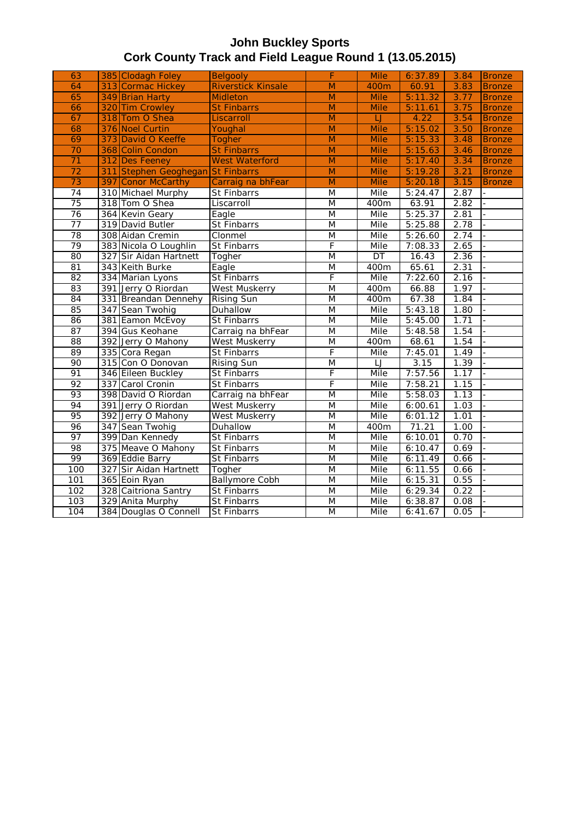| 63              |     | 385 Clodagh Foley                 | Belgooly                  | F              | <b>Mile</b>        | 6:37.89 | 3.84 | <b>Bronze</b> |
|-----------------|-----|-----------------------------------|---------------------------|----------------|--------------------|---------|------|---------------|
| 64              |     | 313 Cormac Hickey                 | <b>Riverstick Kinsale</b> | $\overline{M}$ | 400m               | 60.91   | 3.83 | <b>Bronze</b> |
| 65              |     | 349 Brian Harty                   | <b>Midleton</b>           | $\overline{M}$ | <b>Mile</b>        | 5:11.32 | 3.77 | <b>Bronze</b> |
| 66              |     | 320 Tim Crowley                   | <b>St Finbarrs</b>        | M              | <b>Mile</b>        | 5:11.61 | 3.75 | <b>Bronze</b> |
| 67              |     | 318 Tom O Shea                    | Liscarroll                | $\overline{M}$ | $\sqcup$           | 4.22    | 3.54 | <b>Bronze</b> |
| 68              |     | 376 Noel Curtin                   | Youghal                   | M              | <b>Mile</b>        | 5:15.02 | 3.50 | <b>Bronze</b> |
| 69              |     | 373 David O Keeffe                | <b>Togher</b>             | M              | <b>Mile</b>        | 5:15.33 | 3.48 | <b>Bronze</b> |
| $\overline{70}$ |     | 368 Colin Condon                  | <b>St Finbarrs</b>        | $\overline{M}$ | <b>Mile</b>        | 5:15.63 | 3.46 | <b>Bronze</b> |
| $\overline{71}$ | 312 | <b>Des Feeney</b>                 | <b>West Waterford</b>     | $\overline{M}$ | <b>Mile</b>        | 5:17.40 | 3.34 | <b>Bronze</b> |
| $\overline{72}$ |     | 311 Stephen Geoghegan St Finbarrs |                           | $\overline{M}$ | <b>Mile</b>        | 5:19.28 | 3.21 | <b>Bronze</b> |
| 73              |     | 397 Conor McCarthy                | Carraig na bhFear         | $\overline{M}$ | <b>Mile</b>        | 5:20.18 | 3.15 | <b>Bronze</b> |
| 74              |     | 310 Michael Murphy                | <b>St Finbarrs</b>        | M              | Mile               | 5:24.47 | 2.87 |               |
| 75              |     | 318 Tom O Shea                    | Liscarroll                | M              | 400m               | 63.91   | 2.82 |               |
| 76              |     | 364 Kevin Geary                   | Eagle                     | M              | Mile               | 5:25.37 | 2.81 |               |
| 77              |     | 319 David Butler                  | <b>St Finbarrs</b>        | M              | Mile               | 5:25.88 | 2.78 |               |
| 78              |     | 308 Aidan Cremin                  | Clonmel                   | M              | Mile               | 5:26.60 | 2.74 |               |
| 79              |     | 383 Nicola O Loughlin             | St Finbarrs               | F              | Mile               | 7:08.33 | 2.65 |               |
| 80              |     | 327 Sir Aidan Hartnett            | Togher                    | M              | DT                 | 16.43   | 2.36 |               |
| 81              |     | 343 Keith Burke                   | Eagle                     | M              | 400m               | 65.61   | 2.31 |               |
| 82              |     | 334 Marian Lyons                  | St Finbarrs               | F              | Mile               | 7:22.60 | 2.16 |               |
| 83              |     | 391 Jerry O Riordan               | <b>West Muskerry</b>      | $\overline{M}$ | $\overline{400}$ m | 66.88   | 1.97 |               |
| 84              |     | 331 Breandan Dennehy              | <b>Rising Sun</b>         | $\overline{M}$ | 400m               | 67.38   | 1.84 |               |
| 85              |     | 347 Sean Twohig                   | Duhallow                  | M              | Mile               | 5:43.18 | 1.80 |               |
| 86              |     | 381 Eamon McEvoy                  | St Finbarrs               | M              | Mile               | 5:45.00 | 1.71 |               |
| 87              |     | 394 Gus Keohane                   | Carraig na bhFear         | $\overline{M}$ | Mile               | 5:48.58 | 1.54 |               |
| $\overline{88}$ |     | 392 Jerry O Mahony                | West Muskerry             | M              | 400m               | 68.61   | 1.54 |               |
| 89              |     | 335 Cora Regan                    | St Finbarrs               | F              | Mile               | 7:45.01 | 1.49 |               |
| 90              |     | 315 Con O Donovan                 | <b>Rising Sun</b>         | $\overline{M}$ | IJ                 | 3.15    | 1.39 |               |
| 91              |     | 346 Eileen Buckley                | St Finbarrs               | F              | Mile               | 7:57.56 | 1.17 |               |
| 92              |     | 337 Carol Cronin                  | St Finbarrs               | F              | Mile               | 7:58.21 | 1.15 |               |
| 93              |     | 398 David O Riordan               | Carraig na bhFear         | M              | Mile               | 5:58.03 | 1.13 |               |
| 94              |     | 391 Jerry O Riordan               | <b>West Muskerry</b>      | M              | Mile               | 6:00.61 | 1.03 |               |
| 95              |     | 392 Jerry O Mahony                | <b>West Muskerry</b>      | M              | Mile               | 6:01.12 | 1.01 |               |
| 96              |     | 347 Sean Twohig                   | Duhallow                  | $\overline{M}$ | 400m               | 71.21   | 1.00 |               |
| 97              |     | 399 Dan Kennedy                   | St Finbarrs               | M              | Mile               | 6:10.01 | 0.70 |               |
| 98              |     | 375 Meave O Mahony                | St Finbarrs               | M              | Mile               | 6:10.47 | 0.69 |               |
| 99              |     | 369 Eddie Barry                   | <b>St Finbarrs</b>        | M              | Mile               | 6:11.49 | 0.66 |               |
| 100             |     | 327 Sir Aidan Hartnett            | Togher                    | M              | Mile               | 6:11.55 | 0.66 |               |
| 101             |     | 365 Eoin Ryan                     | <b>Ballymore Cobh</b>     | M              | Mile               | 6:15.31 | 0.55 |               |
| 102             |     | 328 Caitriona Santry              | <b>St Finbarrs</b>        | M              | Mile               | 6:29.34 | 0.22 |               |
| 103             |     | 329 Anita Murphy                  | <b>St Finbarrs</b>        | $\overline{M}$ | Mile               | 6:38.87 | 0.08 |               |
| 104             |     | 384 Douglas O Connell             | <b>St Finbarrs</b>        | M              | Mile               | 6:41.67 | 0.05 |               |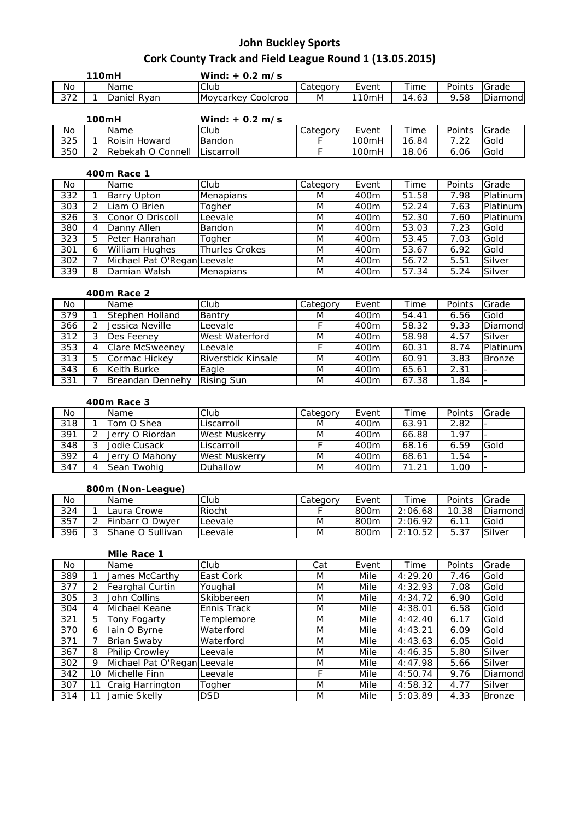| 110mH        |  |                | Wind: $+$ 0.2 m/s     |            |          |                        |        |          |
|--------------|--|----------------|-----------------------|------------|----------|------------------------|--------|----------|
| <b>No</b>    |  | <b>Name</b>    | <b>Club</b>           | ∴ategory ' | Event    | Time                   | Points | Grade    |
| 272<br>ے ر ب |  | Daniel<br>Rvan | Coolcroo<br>Moycarkey | M          | $110$ mh | 4.63<br>$\overline{1}$ | 9.58   | Diamondi |

| 100mH |  |                      | Wind: $+$ 0.2 m/s |          |       |       |        |              |
|-------|--|----------------------|-------------------|----------|-------|-------|--------|--------------|
| No    |  | <b>Name</b>          | Club              | Category | Event | Time  | Points | <b>Grade</b> |
| 325   |  | <b>Roisin Howard</b> | Bandon            |          | 100mH | 16.84 | ר ר    | Gold         |
| 350   |  | Rebekah O Connell    | <b>Liscarroll</b> |          | 100mH | 18.06 | 6.06   | Gold         |

### **400m Race 1**

| No. |   | Name                        | Club                  | Category | Event | Time  | Points | Grade    |
|-----|---|-----------------------------|-----------------------|----------|-------|-------|--------|----------|
| 332 |   | <b>Barry Upton</b>          | <b>Menapians</b>      | M        | 400m  | 51.58 | 7.98   | Platinum |
| 303 |   | Liam O Brien                | Togher                | M        | 400m  | 52.24 | 7.63   | Platinum |
| 326 |   | Conor O Driscoll            | Leevale               | M        | 400m  | 52.30 | 7.60   | Platinum |
| 380 |   | Danny Allen                 | Bandon                | M        | 400m  | 53.03 | 7.23   | Gold     |
| 323 |   | Peter Hanrahan              | Togher                | M        | 400m  | 53.45 | 7.03   | Gold     |
| 301 | 6 | <b>William Hughes</b>       | <b>Thurles Crokes</b> | M        | 400m  | 53.67 | 6.92   | Gold     |
| 302 |   | Michael Pat O'Regan Leevale |                       | M        | 400m  | 56.72 | 5.51   | Silver   |
| 339 | 8 | Damian Walsh                | <b>Menapians</b>      | M        | 400m  | 57.34 | 5.24   | Silver   |

### **400m Race 2**

| No  | Name                   | Club                      | Category | Event | Time  | Points | Grade         |
|-----|------------------------|---------------------------|----------|-------|-------|--------|---------------|
| 379 | Stephen Holland        | Bantry                    | M        | 400m  | 54.41 | 6.56   | Gold          |
| 366 | Jessica Neville        | Leevale                   |          | 400m  | 58.32 | 9.33   | Diamond       |
| 312 | Des Feenev             | West Waterford            | M        | 400m  | 58.98 | 4.57   | Silver        |
| 353 | <b>Clare McSweeney</b> | Leevale                   |          | 400m  | 60.31 | 8.74   | Platinum      |
| 313 | Cormac Hickey          | <b>Riverstick Kinsale</b> | M        | 400m  | 60.91 | 3.83   | <b>Bronze</b> |
| 343 | Keith Burke            | Eagle                     | M        | 400m  | 65.61 | 2.31   |               |
| 331 | Breandan Dennehy       | <b>Rising Sun</b>         | M        | 400m  | 67.38 | 1.84   |               |

#### **400m Race 3**

| No  | Name            | Club                 | Category | Event | Time  | Points | Grade |
|-----|-----------------|----------------------|----------|-------|-------|--------|-------|
| 318 | Tom O Shea      | Liscarroll           | M        | 400m  | 63.91 | 2.82   |       |
| 391 | Jerry O Riordan | <b>West Muskerry</b> | M        | 400m  | 66.88 | 1.97   |       |
| 348 | Jodie Cusack    | Liscarroll           |          | 400m  | 68.16 | 6.59   | Gold  |
| 392 | Jerry O Mahony  | West Muskerry        | M        | 400m  | 68.61 | 1.54   |       |
| 347 | Sean Twohig     | Duhallow             | M        | 400m  | 71.21 | 1.00   |       |

#### **800m (Non-League)**

| No  |                          | Name                    | Club    | Category | Event | Time    | Points | Grade   |
|-----|--------------------------|-------------------------|---------|----------|-------|---------|--------|---------|
| 324 |                          | Laura Crowe             | Riocht  |          | 800m  | 2:06.68 | 10.38  | Diamond |
| 357 | $\overline{\phantom{0}}$ | <b>IFinbarr O Dwyer</b> | Leevale | Μ        | 800m  | 2:06.92 | 6.11   | Gold    |
| 396 |                          | <b>Shane O Sullivan</b> | .eevale | M        | 800m  | 2:10.52 | 5.37   | Silver  |

|     |    | Mile Race 1                 |                    |     |       |         |        |               |
|-----|----|-----------------------------|--------------------|-----|-------|---------|--------|---------------|
| No. |    | <b>Name</b>                 | Club               | Cat | Event | Time    | Points | Grade         |
| 389 |    | James McCarthy              | East Cork          | M   | Mile  | 4:29.20 | 7.46   | Gold          |
| 377 | 2  | <b>Fearghal Curtin</b>      | Youghal            | M   | Mile  | 4:32.93 | 7.08   | Gold          |
| 305 | 3  | John Collins                | Skibbereen         | M   | Mile  | 4:34.72 | 6.90   | Gold          |
| 304 | 4  | Michael Keane               | <b>Ennis Track</b> | M   | Mile  | 4:38.01 | 6.58   | Gold          |
| 321 | 5  | Tony Fogarty                | Templemore         | M   | Mile  | 4:42.40 | 6.17   | Gold          |
| 370 | 6  | Iain O Byrne                | Waterford          | M   | Mile  | 4:43.21 | 6.09   | Gold          |
| 371 |    | <b>Brian Swaby</b>          | Waterford          | M   | Mile  | 4:43.63 | 6.05   | Gold          |
| 367 | 8  | Philip Crowley              | Leevale            | M   | Mile  | 4:46.35 | 5.80   | Silver        |
| 302 | 9  | Michael Pat O'Regan Leevale |                    | M   | Mile  | 4:47.98 | 5.66   | Silver        |
| 342 | 10 | Michelle Finn               | Leevale            | F   | Mile  | 4:50.74 | 9.76   | Diamond       |
| 307 | 11 | Craig Harrington            | Togher             | M   | Mile  | 4:58.32 | 4.77   | Silver        |
| 314 | 11 | Jamie Skelly                | <b>DSD</b>         | M   | Mile  | 5:03.89 | 4.33   | <b>Bronze</b> |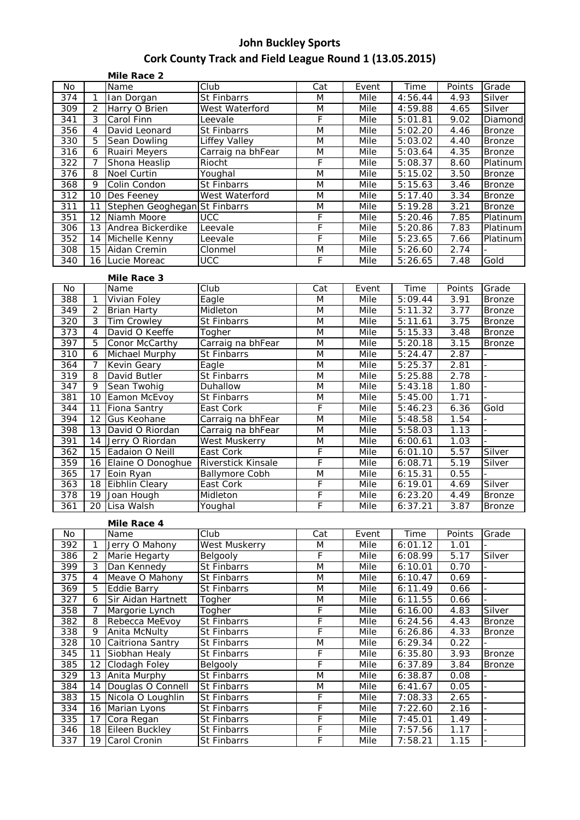|                  |                | Mile Race 2                   |                          |     |       |                        |        |                |
|------------------|----------------|-------------------------------|--------------------------|-----|-------|------------------------|--------|----------------|
| No.              |                | Name                          | $\overline{\text{Club}}$ | Cat | Event | Time                   | Points | Grade          |
| 374              | $\mathbf{1}$   | Ian Dorgan                    | St Finbarrs              | M   | Mile  | 4:56.44                | 4.93   | Silver         |
| 309              | 2              | Harry O Brien                 | West Waterford           | M   | Mile  | 4:59.88                | 4.65   | Silver         |
| 341              | 3              | Carol Finn                    | Leevale                  | F   | Mile  | 5:01.81                | 9.02   | Diamond        |
| 356              | $\overline{4}$ | David Leonard                 | St Finbarrs              | M   | Mile  | 5:02.20                | 4.46   | <b>Bronze</b>  |
| 330              | 5              | Sean Dowling                  | Liffey Valley            | M   | Mile  | 5:03.02                | 4.40   | <b>Bronze</b>  |
| 316              | 6              | Ruairi Meyers                 | Carraig na bhFear        | M   | Mile  | 5:03.64                | 4.35   | <b>Bronze</b>  |
| 322              | $\overline{7}$ | Shona Heaslip                 | Riocht                   | F   | Mile  | 5:08.37                | 8.60   | Platinum       |
| 376              | 8              | <b>Noel Curtin</b>            | Youghal                  | M   | Mile  | $\overline{5:}15.02$   | 3.50   | <b>Bronze</b>  |
| 368              | 9              | Colin Condon                  | St Finbarrs              | M   | Mile  | 5:15.63                | 3.46   | <b>Bronze</b>  |
| 312              | 10             | Des Feeney                    | West Waterford           | M   | Mile  | 5:17.40                | 3.34   | <b>Bronze</b>  |
| 311              | 11             | Stephen Geoghegan St Finbarrs |                          | M   | Mile  | 5:19.28                | 3.21   | <b>Bronze</b>  |
| 351              | 12             | Niamh Moore                   | <b>UCC</b>               | F   | Mile  | 5:20.46                | 7.85   | Platinum       |
| 306              | 13             | Andrea Bickerdike             | Leevale                  | F   | Mile  | 5:20.86                | 7.83   | Platinum       |
| 352              | 14             | Michelle Kenny                | Leevale                  | F   | Mile  | $\overline{5}$ : 23.65 | 7.66   | Platinum       |
| 308              | 15             | Aidan Cremin                  | Clonmel                  | M   | Mile  | 5:26.60                | 2.74   |                |
| $\overline{340}$ | 16             | Lucie Moreac                  | $\overline{UCC}$         | F   | Mile  | 5:26.65                | 7.48   | Gold           |
|                  |                | Mile Race 3                   |                          |     |       |                        |        |                |
| <b>No</b>        |                | Name                          | Club                     | Cat | Event | Time                   | Points | Grade          |
| 388              | $\mathbf{1}$   | Vivian Foley                  | Eagle                    | M   | Mile  | 5:09.44                | 3.91   | <b>Bronze</b>  |
| 349              | 2              | <b>Brian Harty</b>            | Midleton                 | M   | Mile  | 5:11.32                | 3.77   | <b>Bronze</b>  |
| 320              | 3              | <b>Tim Crowley</b>            | St Finbarrs              | M   | Mile  | 5:11.61                | 3.75   | <b>Bronze</b>  |
| 373              | $\overline{4}$ | David O Keeffe                | Togher                   | M   | Mile  | 5:15.33                | 3.48   | <b>Bronze</b>  |
| 397              | 5              | Conor McCarthy                | Carraig na bhFear        | M   | Mile  | 5:20.18                | 3.15   | <b>Bronze</b>  |
| 310              | 6              | Michael Murphy                | St Finbarrs              | M   | Mile  | 5:24.47                | 2.87   |                |
| 364              | $\overline{7}$ | Kevin Geary                   | Eagle                    | M   | Mile  | 5:25.37                | 2.81   |                |
| 319              | 8              | David Butler                  | St Finbarrs              | M   | Mile  | 5:25.88                | 2.78   |                |
| 347              | 9              | Sean Twohig                   | Duhallow                 | M   | Mile  | 5:43.18                | 1.80   | $\overline{a}$ |
| 381              | 10             | Eamon McEvoy                  | <b>St Finbarrs</b>       | M   | Mile  | 5:45.00                | 1.71   |                |
| 344              | 11             | <b>Fiona Santry</b>           | East Cork                | F   | Mile  | 5:46.23                | 6.36   | Gold           |
| 394              |                | 12 Gus Kenhane                | Carraig na hhEear        | NЛ  | Mila  | 5.4858                 | 154    |                |

| ◡┭┭ |    |                      | LUJI VVIN                 |   | $\sim$ | <u>. TU.LU</u> | ◡.◡◡ | <b>UUI</b>    |
|-----|----|----------------------|---------------------------|---|--------|----------------|------|---------------|
| 394 | 12 | <b>Gus Keohane</b>   | Carraig na bhFear         | M | Mile   | 5:48.58        | 1.54 |               |
| 398 |    | 13 David O Riordan   | Carraig na bhFear         | M | Mile   | 5:58.03        | 1.13 |               |
| 391 |    | 14 Jerry O Riordan   | <b>West Muskerry</b>      | M | Mile   | 6:00.61        | 1.03 |               |
| 362 |    | 15 Eadaion O Neill   | East Cork                 |   | Mile   | 6:01.10        | 5.57 | Silver        |
| 359 |    | 16 Elaine O Donoghue | <b>Riverstick Kinsale</b> |   | Mile   | 6:08.71        | 5.19 | Silver        |
| 365 | 17 | Eoin Ryan            | <b>Ballymore Cobh</b>     | M | Mile   | 6:15.31        | 0.55 |               |
| 363 | 18 | Eibhlin Cleary       | East Cork                 |   | Mile   | 6:19.01        | 4.69 | Silver        |
| 378 | 19 | Joan Hough           | <b>Midleton</b>           |   | Mile   | 6:23.20        | 4.49 | <b>Bronze</b> |
| 361 |    | 20 Lisa Walsh        | Youghal                   |   | Mile   | 6:37.21        | 3.87 | <b>Bronze</b> |

### **Mile Race 4**

| No  |                   | Name                | Club                 | Cat | Event | Time    | Points | Grade         |
|-----|-------------------|---------------------|----------------------|-----|-------|---------|--------|---------------|
| 392 |                   | Jerry O Mahony      | <b>West Muskerry</b> | M   | Mile  | 6:01.12 | 1.01   |               |
| 386 | 2                 | Marie Hegarty       | Belgooly             | F   | Mile  | 6:08.99 | 5.17   | Silver        |
| 399 | 3                 | Dan Kennedy         | St Finbarrs          | M   | Mile  | 6:10.01 | 0.70   |               |
| 375 | 4                 | Meave O Mahony      | St Finbarrs          | M   | Mile  | 6:10.47 | 0.69   |               |
| 369 | 5                 | <b>Eddie Barry</b>  | St Finbarrs          | M   | Mile  | 6:11.49 | 0.66   |               |
| 327 | 6                 | Sir Aidan Hartnett  | Togher               | M   | Mile  | 6:11.55 | 0.66   |               |
| 358 |                   | Margorie Lynch      | Togher               | F   | Mile  | 6:16.00 | 4.83   | Silver        |
| 382 | 8                 | Rebecca MeEvoy      | <b>St Finbarrs</b>   | F   | Mile  | 6:24.56 | 4.43   | Bronze        |
| 338 | 9                 | Anita McNulty       | St Finbarrs          | F   | Mile  | 6:26.86 | 4.33   | Bronze        |
| 328 | 10                | Caitriona Santry    | <b>St Finbarrs</b>   | M   | Mile  | 6:29.34 | 0.22   |               |
| 345 | 11                | Siobhan Healv       | <b>St Finbarrs</b>   | F   | Mile  | 6:35.80 | 3.93   | Bronze        |
| 385 | $12 \overline{ }$ | Clodagh Foley       | Belgooly             | F   | Mile  | 6:37.89 | 3.84   | <b>Bronze</b> |
| 329 | 13                | <b>Anita Murphy</b> | St Finbarrs          | M   | Mile  | 6:38.87 | 0.08   |               |
| 384 | 14                | Douglas O Connell   | St Finbarrs          | M   | Mile  | 6:41.67 | 0.05   |               |
| 383 | 15                | Nicola O Loughlin   | <b>St Finbarrs</b>   | F   | Mile  | 7:08.33 | 2.65   |               |
| 334 | 16                | Marian Lyons        | <b>St Finbarrs</b>   | F   | Mile  | 7:22.60 | 2.16   |               |
| 335 | 17                | Cora Regan          | St Finbarrs          | F   | Mile  | 7:45.01 | 1.49   |               |
| 346 | 18                | Eileen Buckley      | St Finbarrs          | F   | Mile  | 7:57.56 | 1.17   |               |
| 337 | 19                | Carol Cronin        | St Finbarrs          | F   | Mile  | 7:58.21 | 1.15   |               |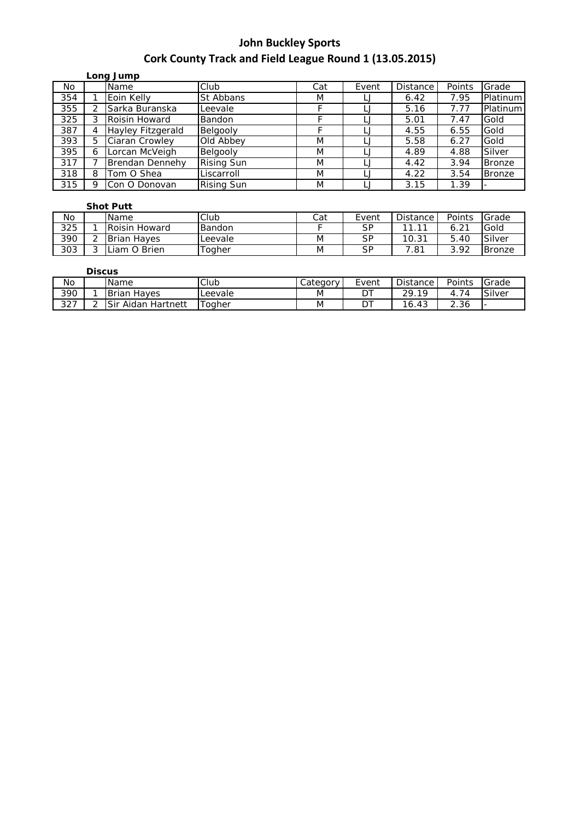|     |         | Long Jump              |                   |     |       |                 |        |               |
|-----|---------|------------------------|-------------------|-----|-------|-----------------|--------|---------------|
| No. |         | Name                   | Club              | Cat | Event | <b>Distance</b> | Points | Grade         |
| 354 |         | Eoin Kelly             | St Abbans         | M   |       | 6.42            | 7.95   | Platinum      |
| 355 |         | Sarka Buranska         | Leevale           |     |       | 5.16            | 7.77   | Platinum      |
| 325 |         | Roisin Howard          | <b>Bandon</b>     |     |       | 5.01            | 7.47   | Gold          |
| 387 |         | Hayley Fitzgerald      | Belgooly          |     |       | 4.55            | 6.55   | Gold          |
| 393 | 5       | Ciaran Crowley         | Old Abbey         | M   |       | 5.58            | 6.27   | Gold          |
| 395 | 6       | Lorcan McVeigh         | Belgooly          | M   |       | 4.89            | 4.88   | Silver        |
| 317 |         | <b>Brendan Dennehy</b> | <b>Rising Sun</b> | M   |       | 4.42            | 3.94   | <b>Bronze</b> |
| 318 | 8       | Tom O Shea             | Liscarroll        | M   |       | 4.22            | 3.54   | <b>Bronze</b> |
| 315 | $\circ$ | Con O Donovan          | <b>Rising Sun</b> | M   |       | 3.15            | 1.39   |               |

### **Shot Putt**

|     |                          | --------             |               |     |       |                 |                  |               |
|-----|--------------------------|----------------------|---------------|-----|-------|-----------------|------------------|---------------|
| No  |                          | <b>Name</b>          | Club          | Cat | Event | <b>Distance</b> | Points           | Grade         |
| 325 |                          | <b>Roisin Howard</b> | Bandon        |     | SP    | $\sim$<br>- 11  | 6.2 <sup>1</sup> | Gold          |
| 390 |                          | <b>Brian Haves</b>   | Leevale       | M   | SP    | 10.31           | 5.40             | Silver        |
| 303 | $\overline{\phantom{0}}$ | Liam O Brien         | <b>Togher</b> | M   | SP    | .81             | 3.92             | <b>Bronze</b> |

### **Discus**

| No              |   | Name                     | Club                               | √ategory - | Event | Distance              | Points                                         | Grade  |
|-----------------|---|--------------------------|------------------------------------|------------|-------|-----------------------|------------------------------------------------|--------|
| 390             |   | <b>Brian</b><br>Haves    | Leevale                            | M          | ້     | າດ<br>1 Q<br><u>_</u> | $\overline{\phantom{a}}$<br>4.<br>$\mathbf{A}$ | Silver |
| $\sim$<br>، ے ت | - | Sir<br>Hartnett<br>Aidan | $\overline{\phantom{0}}$<br>Toaher | M          | ◡     | 16.43                 | 2.36                                           |        |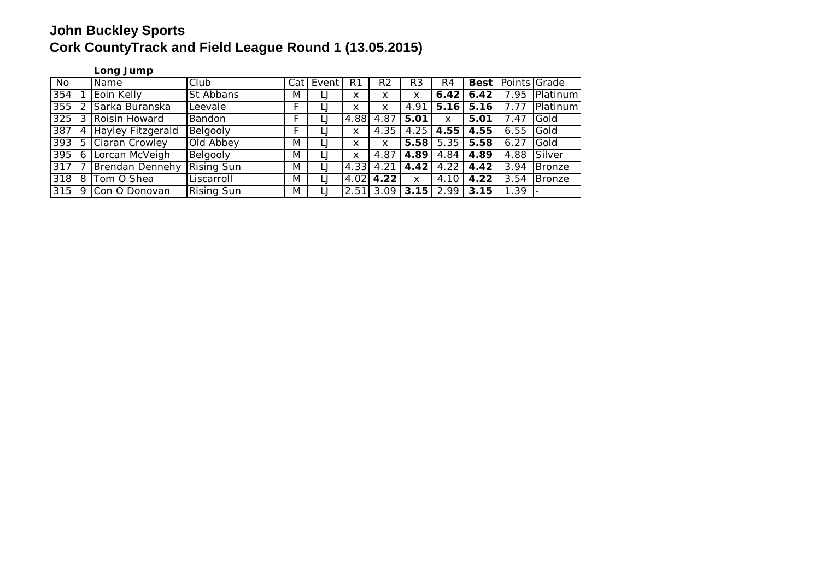### **Long Jump**

| No  |    | Name                | Club              | Cat | Event | R1   | R2   | R <sub>3</sub> | R4   | <b>Best</b> | Points Grade |          |
|-----|----|---------------------|-------------------|-----|-------|------|------|----------------|------|-------------|--------------|----------|
| 354 |    | Eoin Kelly          | St Abbans         | M   | LJ    | x    | x    | x              | 6.42 | 6.42        | 7.95         | Platinum |
| 355 |    | Sarka Buranska      | Leevale           |     |       | x    | x    | 4.91           | 5.16 | 5.16        | 7.77         | Platinum |
| 325 |    | 3 Roisin Howard     | Bandon            |     |       | 4.88 | 4.87 | 5.01           | X    | 5.01        | 7.47         | Gold     |
| 387 |    | 4 Hayley Fitzgerald | Belgooly          |     |       | x    | 4.35 | 4.25           | 4.55 | 4.55        | 6.55         | Gold     |
| 393 |    | 5 Ciaran Crowley    | Old Abbey         | M   |       | x    | x    | 5.58           | 5.35 | 5.58        | 6.27         | Gold     |
| 395 |    | 6 Lorcan McVeigh    | Belgooly          | M   |       | x    | 4.87 | 4.89           | 4.84 | 4.89        | 4.88         | Silver   |
| 317 |    | Brendan Dennehy     | <b>Rising Sun</b> | M   |       | 4.33 | 4.21 | 4.42           | 4.22 | 4.42        | 3.94         | Bronze   |
| 318 | 81 | Tom O Shea          | Liscarroll        | M   |       | 4.02 | 4.22 | x              | 4.10 | 4.22        | 3.54         | Bronze   |
| 315 |    | 9 Con O Donovan     | <b>Rising Sun</b> | M   |       | 2.51 | 3.09 | 3.15           | 2.99 | 3.15        | 1.39         |          |